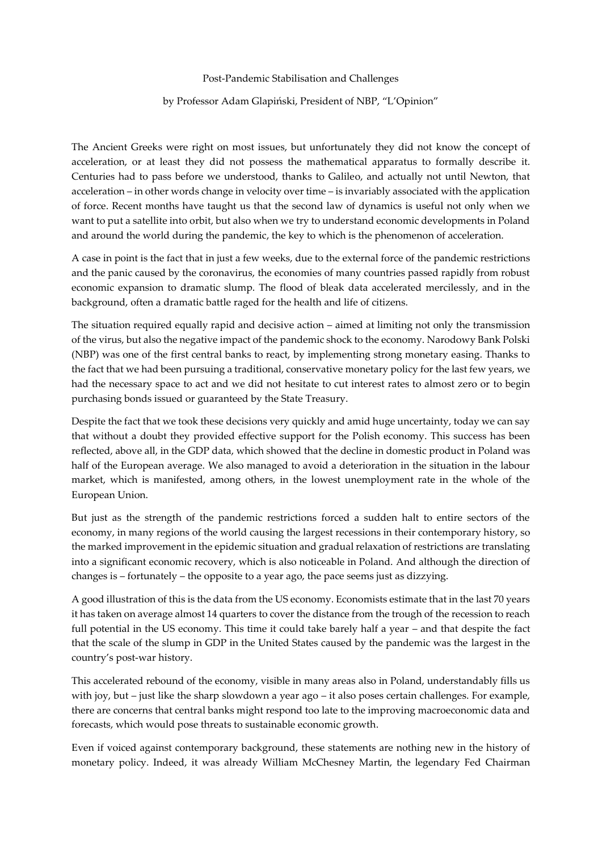Post-Pandemic Stabilisation and Challenges

## by Professor Adam Glapiński, President of NBP, "L'Opinion"

The Ancient Greeks were right on most issues, but unfortunately they did not know the concept of acceleration, or at least they did not possess the mathematical apparatus to formally describe it. Centuries had to pass before we understood, thanks to Galileo, and actually not until Newton, that acceleration – in other words change in velocity over time – is invariably associated with the application of force. Recent months have taught us that the second law of dynamics is useful not only when we want to put a satellite into orbit, but also when we try to understand economic developments in Poland and around the world during the pandemic, the key to which is the phenomenon of acceleration.

A case in point is the fact that in just a few weeks, due to the external force of the pandemic restrictions and the panic caused by the coronavirus, the economies of many countries passed rapidly from robust economic expansion to dramatic slump. The flood of bleak data accelerated mercilessly, and in the background, often a dramatic battle raged for the health and life of citizens.

The situation required equally rapid and decisive action – aimed at limiting not only the transmission of the virus, but also the negative impact of the pandemic shock to the economy. Narodowy Bank Polski (NBP) was one of the first central banks to react, by implementing strong monetary easing. Thanks to the fact that we had been pursuing a traditional, conservative monetary policy for the last few years, we had the necessary space to act and we did not hesitate to cut interest rates to almost zero or to begin purchasing bonds issued or guaranteed by the State Treasury.

Despite the fact that we took these decisions very quickly and amid huge uncertainty, today we can say that without a doubt they provided effective support for the Polish economy. This success has been reflected, above all, in the GDP data, which showed that the decline in domestic product in Poland was half of the European average. We also managed to avoid a deterioration in the situation in the labour market, which is manifested, among others, in the lowest unemployment rate in the whole of the European Union.

But just as the strength of the pandemic restrictions forced a sudden halt to entire sectors of the economy, in many regions of the world causing the largest recessions in their contemporary history, so the marked improvement in the epidemic situation and gradual relaxation of restrictions are translating into a significant economic recovery, which is also noticeable in Poland. And although the direction of changes is – fortunately – the opposite to a year ago, the pace seems just as dizzying.

A good illustration of this is the data from the US economy. Economists estimate that in the last 70 years it has taken on average almost 14 quarters to cover the distance from the trough of the recession to reach full potential in the US economy. This time it could take barely half a year – and that despite the fact that the scale of the slump in GDP in the United States caused by the pandemic was the largest in the country's post-war history.

This accelerated rebound of the economy, visible in many areas also in Poland, understandably fills us with joy, but – just like the sharp slowdown a year ago – it also poses certain challenges. For example, there are concerns that central banks might respond too late to the improving macroeconomic data and forecasts, which would pose threats to sustainable economic growth.

Even if voiced against contemporary background, these statements are nothing new in the history of monetary policy. Indeed, it was already William McChesney Martin, the legendary Fed Chairman